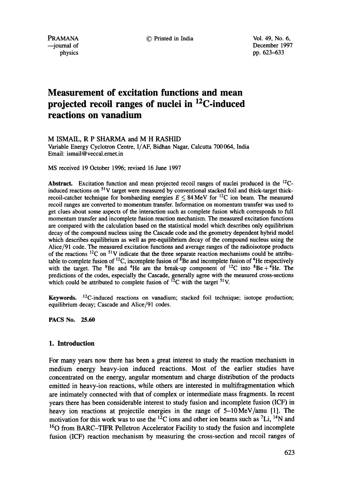© Printed in India **Vol.** 49, No. **6,** 

PRAMANA --journal of physics December 1997 pp. 623-633

# **Measurement of excitation functions and mean projected recoil ranges of nuclei in 12C-induced reactions on vanadium**

## M ISMAIL, R P SHARMA and M H RASHID

Variable Energy Cyclotron Centre, I/AF, Bidhan Nagar, Calcutta 700 064, India Email: ismail @ veccal.ernet.in

MS received 19 October 1996; revised 16 June 1997

**Abstract.** Excitation function and mean projected recoil ranges of nuclei produced in the 12Cinduced reactions on 51V target were measured by conventional stacked foil and thick-target thickrecoil-catcher technique for bombarding energies  $E \le 84$  MeV for <sup>12</sup>C ion beam. The measured recoil ranges are converted to momentum transfer. Information on momentum transfer was used to get clues about some aspects of the interaction such as complete fusion which corresponds to full momentum transfer and incomplete fusion reaction mechanism. The measured excitation functions are compared with the calculation based on the statistical model which describes only equilibrium decay of the compound nucleus using the Cascade code and the geometry dependent hybrid model which describes equilibrium as well as pre-equilibrium decay of the compound nucleus using the Alice/91 code. The measured excitation functions and average ranges of the radioisotope products of the reactions  ${}^{12}C$  on  ${}^{51}V$  indicate that the three separate reaction mechanisms could be attributable to complete fusion of  ${}^{12}C$ , incomplete fusion of  ${}^{8}Be$  and incomplete fusion of  ${}^{4}He$  respectively with the target. The <sup>8</sup>Be and <sup>4</sup>He are the break-up component of <sup>12</sup>C into <sup>8</sup>Be + <sup>4</sup>He. The predictions of the codes, especially the Cascade, generally agree with the measured cross-sections which could be attributed to complete fusion of  $^{12}$ C with the target <sup>51</sup>V.

**Keywords.** 12C-induced reactions on vanadium; stacked foil technique; isotope production; equilibrium decay; Cascade and Alice/91 codes.

**PACS No. 25.60** 

# **1. Introduction**

For many years now there has been a great interest to study the reaction mechanism in medium energy heavy-ion induced reactions. Most of the earlier studies have concentrated on the energy, angular momentum and charge distribution of the products emitted in heavy-ion reactions, while others are interested in multifragmentation which are intimately connected with that of complex or intermediate mass fragments. In recent years there has been considerable interest to study fusion and incomplete fusion (ICF) in heavy ion reactions at projectile energies in the range of 5-10MeV/amu [1]. The motivation for this work was to use the  ${}^{12}$ C ions and other ion beams such as  ${}^{7}Li$ ,  ${}^{14}N$  and 160 from BARC-TIFR Pelletron Accelerator Facility to study the fusion and incomplete fusion (ICF) reaction mechanism by measuring the cross-section and recoil ranges of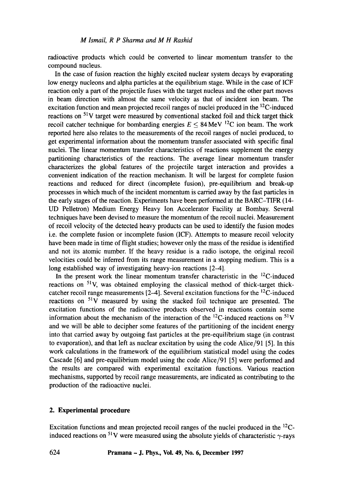radioactive products which could be converted to linear momentum transfer to the compound nucleus.

In the case of fusion reaction the highly excited nuclear system decays by evaporating low energy nucleons and alpha particles at the equilibrium stage. While in the case of ICF reaction only a part of the projectile fuses with the target nucleus and the other part moves in beam direction with almost the same velocity as that of incident ion beam. The excitation function and mean projected recoil ranges of nuclei produced in the 12C-induced reactions on  $51V$  target were measured by conventional stacked foil and thick target thick recoil catcher technique for bombarding energies  $E \leq 84 \,\text{MeV}$  <sup>12</sup>C ion beam. The work reported here also relates to the measurements of the recoil ranges of nuclei produced, to get experimental information about the momentum transfer associated with specific final nuclei. The linear momentum transfer characteristics of reactions supplement the energy partitioning characteristics of the reactions. The average linear momentum transfer characterizes the global features of the projectile target interaction and provides a convenient indication of the reaction mechanism. It will be largest for complete fusion reactions and reduced for direct (incomplete fusion), pre-equilibrium and break-up processes in which much of the incident momentum is carried away by the fast particles in the early stages of the reaction. Experiments have been performed at the BARC-TIFR (14- UD Pelletron) Medium Energy Heavy Ion Accelerator Facility at Bombay. Several techniques have been devised to measure the momentum of the recoil nuclei. Measurement of recoil velocity of the detected heavy products can be used to identify the fusion modes i.e. the complete fusion or incomplete fusion (ICF). Attempts to measure recoil velocity have been made in time of flight studies; however only the mass of the residue is identified and not its atomic number. If the heavy residue is a radio isotope, the original recoil velocities could be inferred from its range measurement in a stopping medium. This is a long established way of investigating heavy-ion reactions [2-4].

In the present work the linear momentum transfer characteristic in the  $^{12}$ C-induced reactions on 51V, was obtained employing the classical method of thick-target thickcatcher recoil range measurements  $[2-4]$ . Several excitation functions for the <sup>12</sup>C-induced reactions on  $51V$  measured by using the stacked foil technique are presented. The excitation functions of the radioactive products observed in reactions contain some information about the mechanism of the interaction of the  ${}^{12}$ C-induced reactions on  ${}^{51}$ V and we will be able to decipher some features of the partitioning of the incident energy into that carried away by outgoing fast particles at the pre-equilibrium stage (in contrast to evaporation), and that left as nuclear excitation by using the code Alice/91 [5]. In this work calculations in the framework of the equilibrium statistical model using the codes Cascade [6] and pre-equilibrium model using the code Alice/91 [5] were performed and the results are compared with experimental excitation functions. Various reaction mechanisms, supported by recoil range measurements, are indicated as contributing to the production of the radioactive nuclei.

# **2. Experimental procedure**

Excitation functions and mean projected recoil ranges of the nuclei produced in the 12Cinduced reactions on <sup>51</sup>V were measured using the absolute yields of characteristic  $\gamma$ -rays

624 **Pramana - J. Phys., Vol. 49, No. 6, December 1997**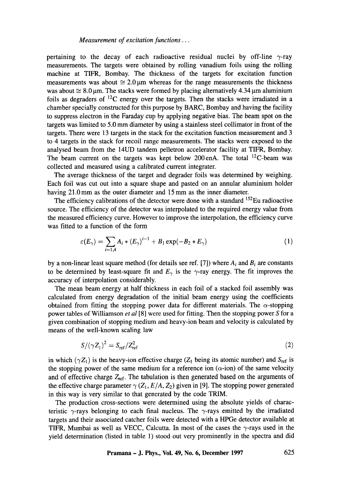pertaining to the decay of each radioactive residual nuclei by off-line  $\gamma$ -ray measurements. The targets were obtained by rolling vanadium foils using the rolling machine at TIFR, Bombay. The thickness of the targets for excitation function measurements was about  $\approx 2.0 \,\mu m$  whereas for the range measurements the thickness was about  $\approx 8.0 \,\text{\ensuremath{\mu}}$ . The stacks were formed by placing alternatively 4.34  $\text{\ensuremath{\mu}}$ m aluminium foils as degraders of  $^{12}C$  energy over the targets. Then the stacks were irradiated in a chamber specially constructed for this purpose by BARC, Bombay and having the facility to suppress electron in the Faraday cup by applying negative bias. The beam spot on the targets was limited to 5.0 mm diameter by using a stainless steel collimator in front of the targets. There were 13 targets in the stack for the excitation function measurement and 3 to 4 targets in the stack for recoil range measurements. The stacks were exposed to the analysed beam from the 14UD tandem pelletron accelerator facility at TIFR, Bombay. The beam current on the targets was kept below 200 enA. The total  $^{12}$ C-beam was collected and measured using a calibrated current integrater.

The average thickness of the target and degrader foils was determined by weighing. Each foil was cut out into a square shape and pasted on an annular aluminium holder having 21.0 mm as the outer diameter and 15 mm as the inner diameter.

The efficiency calibrations of the detector were done with a standard  $152$ Eu radioactive source. The efficiency of the detector was interpolated to the required energy value from the measured efficiency curve. However to improve the interpolation, the efficiency curve was fitted to a function of the form

$$
\varepsilon(E_{\gamma}) = \sum_{i=1,4} A_i * (E_{\gamma})^{i-1} + B_1 \exp(-B_2 * E_{\gamma})
$$
 (1)

by a non-linear least square method (for details see ref. [7]) where *Ai and Bi are* constants to be determined by least-square fit and  $E_{\gamma}$  is the  $\gamma$ -ray energy. The fit improves the accuracy of interpolation considerably.

The mean beam energy at half thickness in each foil of a stacked foil assembly was calculated from energy degradation of the initial beam energy using the coefficients obtained from fitting the stopping power data for different materials. The  $\alpha$ -stopping power tables of Williamson *et al* [8] were used for fitting. Then the stopping power S for a given combination of stopping medium and heavy-ion beam and velocity is calculated by means of the well-known scaling law

$$
S/(\gamma Z_1)^2 = S_{\text{ref}}/Z_{\text{ref}}^2 \tag{2}
$$

in which ( $\gamma Z_1$ ) is the heavy-ion effective charge ( $Z_1$  being its atomic number) and  $S_{ref}$  is the stopping power of the same medium for a reference ion  $(\alpha$ -ion) of the same velocity and of effective charge  $Z_{ref}$ . The tabulation is then generated based on the arguments of the effective charge parameter  $\gamma$  (Z<sub>1</sub>, *E/A, Z*<sub>2</sub>) given in [9]. The stopping power generated in this way is very similar to that generated by the code TRIM.

The production cross-sections were determined using the absolute yields of characteristic  $\gamma$ -rays belonging to each final nucleus. The  $\gamma$ -rays emitted by the irradiated targets and their associated catcher foils were detected with a HPGe detector available at TIFR, Mumbai as well as VECC, Calcutta. In most of the cases the  $\gamma$ -rays used in the yield determination (listed in table 1) stood out very prominently in the spectra and did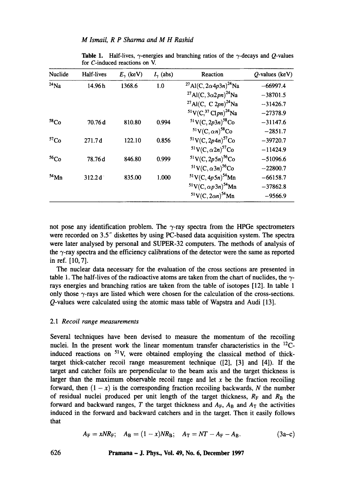| Nuclide          | Half-lives | $E_{\gamma}$ (keV) | $I_{\gamma}$ (abs) | Reaction                                              | $O$ -values (keV) |
|------------------|------------|--------------------|--------------------|-------------------------------------------------------|-------------------|
| $24$ Na          | 14.96 h    | 1368.6             | 1.0                | <sup>27</sup> Al(C, 2 $\alpha$ 4p3n) <sup>24</sup> Na | $-66997.4$        |
|                  |            |                    |                    | <sup>27</sup> Al(C, 3 $\alpha$ 2pn) <sup>24</sup> Na  | $-38701.5$        |
|                  |            |                    |                    | <sup>27</sup> Al(C, C 2pn) <sup>24</sup> Na           | $-31426.7$        |
|                  |            |                    |                    | $51$ V(C, $37$ Clpn) <sup>24</sup> Na                 | $-27378.9$        |
| 58 <sub>Co</sub> | 70.76d     | 810.80             | 0.994              | $51$ V(C, 2p3n) <sup>58</sup> Co                      | $-31147.6$        |
|                  |            |                    |                    | $51$ V(C, $\alpha n$ ) <sup>58</sup> Co               | $-2851.7$         |
| ${}^{57}Co$      | 271.7d     | 122.10             | 0.856              | $51$ V(C, 2p4n) <sup>57</sup> Co                      | $-39720.7$        |
|                  |            |                    |                    | $51$ V(C, $\alpha$ 2n) <sup>57</sup> Co               | $-11424.9$        |
| 56 <sub>Co</sub> | 78.76d     | 846.80             | 0.999              | $51$ V(C, 2p5n) <sup>56</sup> Co                      | $-51096.6$        |
|                  |            |                    |                    | <sup>51</sup> V(C, $\alpha$ 3n) <sup>56</sup> Co      | $-22800.7$        |
| $54$ Mn          | 312.2d     | 835.00             | 1.000              | $51$ V(C, 4p5n) <sup>54</sup> Mn                      | $-66158.7$        |
|                  |            |                    |                    | $51V(C, \alpha p 3n)$ <sup>54</sup> Mn                | $-37862.8$        |
|                  |            |                    |                    | $51$ V(C, 2 $\alpha n$ ) <sup>54</sup> Mn             | $-9566.9$         |

**Table 1.** Half-lives,  $\gamma$ -energies and branching ratios of the  $\gamma$ -decays and Q-values for C-induced reactions on V.

not pose any identification problem. The  $\gamma$ -ray spectra from the HPGe spectrometers were recorded on 3.5" diskettes by using PC-based data acquisition system. The spectra were later analysed by personal and SUPER-32 computers. The methods of analysis of the  $\gamma$ -ray spectra and the efficiency calibrations of the detector were the same as reported in ref. [10, 7].

The nuclear data necessary for the evaluation of the cross sections are presented in table 1. The half-lives of the radioactive atoms are taken from the chart of nuclides, the  $\gamma$ rays energies and branching ratios are taken from the table of isotopes [12]. In table 1 only those  $\gamma$ -rays are listed which were chosen for the calculation of the cross-sections. Q-values were calculated using the atomic mass table of Wapstra and Audi [13].

## *2.1 Recoil range measurements*

Several techniques have been devised to measure the momentum of the recoiling nuclei. In the present work the linear momentum transfer characteristics in the  $^{12}$ Cinduced reactions on  $51V$ , were obtained employing the classical method of thicktarget thick-catcher recoil range measurement technique ([2], [3] and [4]). If the target and catcher foils are perpendicular to the beam axis and the target thickness is larger than the maximum observable recoil range and let  $x$  be the fraction recoiling forward, then  $(1 - x)$  is the corresponding fraction recoiling backwards, N the number of residual nuclei produced per unit length of the target thickness,  $R_F$  and  $R_B$  the forward and backward ranges,  $T$  the target thickness and  $A_F$ ,  $A_B$  and  $A_T$  the activities induced in the forward and backward catchers and in the target. Then it easily follows that

$$
A_{\rm F} = xNR_{\rm F}; \quad A_{\rm B} = (1-x)NR_{\rm B}; \quad A_{\rm T} = NT - A_{\rm F} - A_{\rm B}.
$$
 (3a-c)

**626 Pramana - J. Phys., Vol. 49, No. 6, December 1997**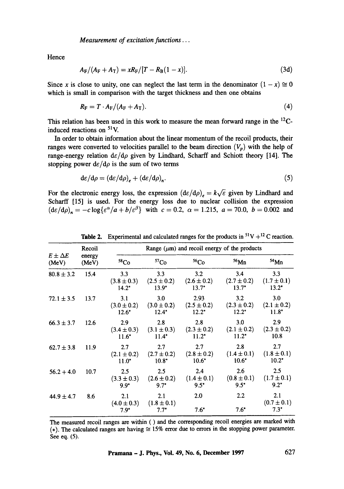*Measurement of excitation functions...* 

Hence

$$
A_{\rm F}/(A_{\rm F} + A_{\rm T}) = xR_{\rm F}/[T - R_{\rm B}(1 - x)]. \qquad (3d)
$$

Since x is close to unity, one can neglect the last term in the denominator  $(1 - x) \approx 0$ which is small in comparison with the target thickness and then one obtains

$$
R_{\rm F}=T\cdot A_{\rm F}/(A_{\rm F}+A_{\rm T}).\tag{4}
$$

This relation has been used in this work to measure the mean forward range in the <sup>12</sup>Cinduced reactions on 51V.

In order to obtain information about the linear momentum of the recoil products, their ranges were converted to velocities parallel to the beam direction  $(V_p)$  with the help of range-energy relation  $d\varepsilon/d\rho$  given by Lindhard, Scharff and Schiott theory [14]. The stopping power  $d\varepsilon/d\rho$  is the sum of two terms

$$
d\varepsilon/d\rho = (d\varepsilon/d\rho)_e + (d\varepsilon/d\rho)_n. \tag{5}
$$

For the electronic energy loss, the expression  $(d\varepsilon/d\rho) = k\sqrt{\varepsilon}$  given by Lindhard and Scharff [15] is used. For the energy loss due to nuclear collision the expression  $(d\varepsilon/d\rho)_n = -c\log{\lbrace \varepsilon^{\alpha}/a + b/\varepsilon^{\beta} \rbrace}$  with  $c = 0.2$ ,  $\alpha = 1.215$ ,  $a = 70.0$ ,  $b = 0.002$  and

| $E \pm \Delta E$<br>(MeV) | Recoil<br>energy<br>(MeV) | Range $(\mu m)$ and recoil energy of the products |                                   |                                    |                                    |                                   |  |
|---------------------------|---------------------------|---------------------------------------------------|-----------------------------------|------------------------------------|------------------------------------|-----------------------------------|--|
|                           |                           | 58 <sub>Co</sub>                                  | 57 <sub>Co</sub>                  | 56C <sub>O</sub>                   | $56$ Mn                            | $54$ Mn                           |  |
| $80.8 \pm 3.2$            | 15.4                      | 3.3<br>$(3.8 \pm 0.3)$<br>$14.2*$                 | 3.3<br>$(2.5 \pm 0.2)$<br>$13.9*$ | 3.2<br>$(2.6 \pm 0.2)$<br>$13.7*$  | 3.4<br>$(2.7 \pm 0.2)$<br>$13.7*$  | 3.3<br>$(1.7 \pm 0.1)$<br>$13.2*$ |  |
| $72.1 \pm 3.5$            | 13.7                      | 3.1<br>$(3.0 \pm 0.2)$<br>$12.6*$                 | 3.0<br>$(3.0 \pm 0.2)$<br>$12.4*$ | 2.93<br>$(2.5 \pm 0.2)$<br>$12.2*$ | 3.2<br>$(2.3 \pm 0.2)$<br>$12.2*$  | 3.0<br>$(2.1 \pm 0.2)$<br>$11.8*$ |  |
| $66.3 \pm 3.7$            | 12.6                      | 2.9<br>$(3.4 \pm 0.3)$<br>$11.6*$                 | 2.8<br>$(3.1 \pm 0.3)$<br>$11.4*$ | 2.8<br>$(2.3 \pm 0.2)$<br>$11.2^*$ | 3.0<br>$(2.1 \pm 0.2)$<br>$11.2^*$ | 2.9<br>$(2.3 \pm 0.2)$<br>10.8    |  |
| $62.7 \pm 3.8$            | 11.9                      | 2.7<br>$(2.1 \pm 0.2)$<br>$11.0*$                 | 2.7<br>$(2.7 \pm 0.2)$<br>$10.8*$ | 2.7<br>$(2.8 \pm 0.2)$<br>$10.6*$  | 2.8<br>$(1.4 \pm 0.1)$<br>$10.6*$  | 2.7<br>$(1.8 \pm 0.1)$<br>$10.2*$ |  |
| $56.2 + 4.0$              | 10.7                      | 2.5<br>$(3.3 \pm 0.3)$<br>$9.9*$                  | 2.5<br>$(2.6 \pm 0.2)$<br>$9.7*$  | 2.4<br>$(1.4 \pm 0.1)$<br>$9.5*$   | 2.6<br>$(0.8 \pm 0.1)$<br>$9.5*$   | 2.5<br>$(1.7 \pm 0.1)$<br>$9.2^*$ |  |
| $44.9 \pm 4.7$            | 8.6                       | 2.1<br>$(4.0 \pm 0.3)$<br>$7.9*$                  | 2.1<br>$(1.8 \pm 0.1)$<br>$7.7^*$ | 2.0<br>$7.6*$                      | $2.2\,$<br>$7.6*$                  | 2.1<br>$(0.7 \pm 0.1)$<br>$7.3*$  |  |

**Table 2.** Experimental and calculated ranges for the products in  ${}^{51}V + {}^{12}C$  reaction.

The measured recoil ranges are within ( ) and the corresponding recoil energies are marked with (\*). The calculated ranges are having  $\cong$  15% error due to errors in the stopping power parameter. See eq. (5).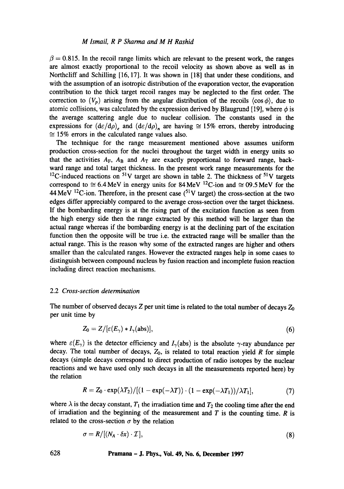$\beta = 0.815$ . In the recoil range limits which are relevant to the present work, the ranges are almost exactly proportional to the recoil velocity as shown above as well as in Northcliff and Schilling [16, 17]. It was shown in [18] that under these conditions, and with the assumption of an isotropic distribution of the evaporation vector, the evaporation contribution to the thick target recoil ranges may be neglected to the first order. The correction to  $(V_p)$  arising from the angular distribution of the recoils  $\langle \cos \phi \rangle$ , due to atomic collisions, was calculated by the expression derived by Blaugrund [19], where  $\phi$  is the average scattering angle due to nuclear collision. The constants used in the expressions for  $(d\varepsilon/d\rho)$ , and  $(d\varepsilon/d\rho)$ , are having  $\approx$  15% errors, thereby introducing  $\approx$  15% errors in the calculated range values also.

The technique for the range measurement mentioned above assumes uniform production cross-section for the nuclei throughout the target width in energy units so that the activities  $A_F$ ,  $A_B$  and  $A_T$  are exactly proportional to forward range, backward range and total target thickness. In the present work range measurements for the <sup>12</sup>C-induced reactions on <sup>51</sup>V target are shown in table 2. The thickness of <sup>51</sup>V targets correspond to  $\approx 6.4$  MeV in energy units for 84 MeV <sup>12</sup>C-ion and  $\approx 09.5$  MeV for the 44 MeV <sup>12</sup>C-ion. Therefore, in the present case (<sup>51</sup>V target) the cross-section at the two edges differ appreciably compared to the average cross-section over the target thickness. If the bombarding energy is at the rising part of the excitation function as seen from the high energy side then the range extracted by this method will be larger than the actual range whereas if the bombarding energy is at the declining part of the excitation function then the opposite will be true i.e. the extracted range will be smaller than the actual range. This is the reason why some of the extracted ranges are higher and others smaller than the calculated ranges. However the extracted ranges help in some cases to distinguish between compound nucleus by fusion reaction and incomplete fusion reaction including direct reaction mechanisms.

#### 2.2 *Cross-section determination*

The number of observed decays Z per unit time is related to the total number of decays  $Z_0$ per unit time by

$$
Z_0 = Z/[\varepsilon(E_\gamma) * I_\gamma(\text{abs})],\tag{6}
$$

where  $\varepsilon(E_{\gamma})$  is the detector efficiency and  $L_{\gamma}$ (abs) is the absolute  $\gamma$ -ray abundance per decay. The total number of decays,  $Z_0$ , is related to total reaction yield R for simple decays (simple decays correspond to direct production of radio isotopes by the nuclear reactions and we have used only such decays in all the measurements reported here) by the relation

$$
R = Z_0 \cdot \exp(\lambda T_2) / [(1 - \exp(-\lambda T)) \cdot (1 - \exp(-\lambda T_1))/\lambda T_1], \tag{7}
$$

where  $\lambda$  is the decay constant,  $T_1$  the irradiation time and  $T_2$  the cooling time after the end of irradiation and the beginning of the measurement and  $T$  is the counting time.  $R$  is related to the cross-section  $\sigma$  by the relation

$$
\sigma = R/[(N_A \cdot \delta x) \cdot \mathcal{I}], \tag{8}
$$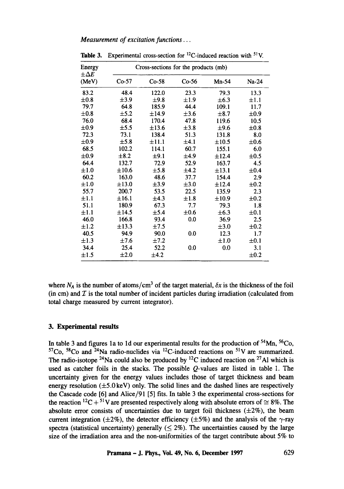*Measurement of excitation functions...* 

| Energy<br>$\pm \Delta E$ | Cross-sections for the products (mb) |            |           |            |           |  |  |  |
|--------------------------|--------------------------------------|------------|-----------|------------|-----------|--|--|--|
| (MeV)                    | $Co-57$                              | $Co-58$    | $Co-56$   | $Mn-54$    | Na-24     |  |  |  |
| 83.2                     | 48.4                                 | 122.0      | 23.3      | 79.3       | 13.3      |  |  |  |
| $\pm 0.8$                | $\pm 3.9$                            | $\pm$ 9.8  | $\pm 1.9$ | $\pm 6.3$  | $\pm 1.1$ |  |  |  |
| 79.7                     | 64.8                                 | 185.9      | 44.4      | 109.1      | 11.7      |  |  |  |
| $\pm 0.8$                | $\pm$ 5.2                            | ±14.9      | $\pm 3.6$ | $\pm 8.7$  | ±0.9      |  |  |  |
| 76.0                     | 68.4                                 | 170.4      | 47.8      | 119.6      | 10.5      |  |  |  |
| $\pm 0.9$                | ±5.5                                 | ±13.6      | $\pm 3.8$ | ±9.6       | $\pm 0.8$ |  |  |  |
| 72.3                     | 73.1                                 | 138.4      | 51.3      | 131.8      | 8.0       |  |  |  |
| $\pm 0.9$                | ±5.8                                 | $\pm 11.1$ | ±4.1      | $\pm 10.5$ | $\pm 0.6$ |  |  |  |
| 68.5                     | 102.2                                | 114.1      | 60.7      | 155.1      | 6.0       |  |  |  |
| $\pm 0.9$                | $\pm 8.2$                            | ±9.1       | ±4.9      | ±12.4      | $\pm 0.5$ |  |  |  |
| 64.4                     | 132.7                                | 72.9       | 52.9      | 163.7      | 4.5       |  |  |  |
| $\pm 1.0$                | $\pm 10.6$                           | $\pm$ 5.8  | $\pm 4.2$ | $\pm 13.1$ | $\pm 0.4$ |  |  |  |
| 60.2                     | 163.0                                | 48.6       | 37.7      | 154.4      | 2.9       |  |  |  |
| $\pm 1.0$                | $\pm 13.0$                           | $\pm 3.9$  | $\pm 3.0$ | ±12.4      | $\pm 0.2$ |  |  |  |
| 55.7                     | 200.7                                | 53.5       | 22.5      | 135.9      | 2.3       |  |  |  |
| $\pm 1.1$                | ±16.1                                | ±4.3       | ±1.8      | ±10.9      | $\pm 0.2$ |  |  |  |
| 51.1                     | 180.9                                | 67.3       | 7.7       | 79.3       | 1.8       |  |  |  |
| $\pm 1.1$                | ±14.5                                | $\pm$ 5.4  | $\pm 0.6$ | $\pm 6.3$  | $\pm 0.1$ |  |  |  |
| 46.0                     | 166.8                                | 93.4       | 0.0       | 36.9       | 2.5       |  |  |  |
| $\pm 1.2$                | $\pm$ 13.3                           | $\pm 7.5$  |           | $\pm 3.0$  | $\pm 0.2$ |  |  |  |
| 40.5                     | 94.9                                 | 90.0       | 0.0       | 12.3       | 1.7       |  |  |  |
| $\pm 1.3$                | ±7.6                                 | $\pm 7.2$  |           | ±1.0       | $\pm 0.1$ |  |  |  |
| 34.4                     | 25.4                                 | 52.2       | 0.0       | 0.0        | 3.1       |  |  |  |
| $\pm 1.5$                | ±2.0                                 | ±4.2       |           |            | $\pm 0.2$ |  |  |  |

**Table 3.** Experimental cross-section for  ${}^{12}C$ -induced reaction with  ${}^{51}V$ .

where  $N_A$  is the number of atoms/cm<sup>3</sup> of the target material,  $\delta x$  is the thickness of the foil (in cm) and  $\mathcal I$  is the total number of incident particles during irradiation (calculated from total charge measured by current integrator).

## **3. Experimental results**

In table 3 and figures 1a to 1d our experimental results for the production of  $54$ Mn,  $56$ Co,  $57Co$ ,  $58Co$  and  $24Na$  radio-nuclides via  $^{12}$ C-induced reactions on  $51V$  are summarized. The radio-isotope <sup>24</sup>Na could also be produced by <sup>12</sup>C induced reaction on <sup>27</sup>Al which is used as catcher foils in the stacks. The possible Q-values are listed in table 1. The uncertainty given for the energy values includes those of target thickness and beam energy resolution  $(\pm 5.0 \,\text{keV})$  only. The solid lines and the dashed lines are respectively the Cascade code [6] and Alice/91 [5] fits. In table 3 the experimental cross-sections for the reaction <sup>12</sup>C + <sup>51</sup>V are presented respectively along with absolute errors of  $\approx$  8%. The absolute error consists of uncertainties due to target foil thickness  $(\pm 2\%)$ , the beam current integration ( $\pm 2\%$ ), the detector efficiency ( $\pm 5\%$ ) and the analysis of the  $\gamma$ -ray spectra (statistical uncertainty) generally  $(\leq 2\%)$ . The uncertainties caused by the large size of the irradiation area and the non-uniformities of the target contribute about 5% to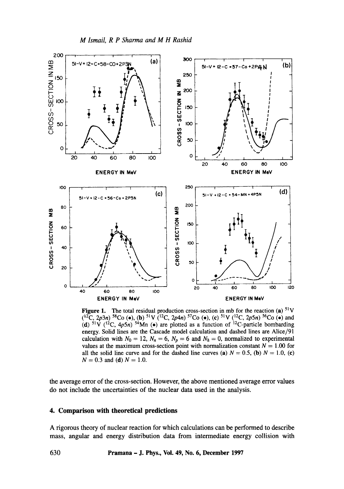

Figure 1. The total residual production cross-section in mb for the reaction (a)  $51V$  $(1^2C, 2p3n)$  <sup>58</sup>Co (e), (b) <sup>51</sup>V (<sup>12</sup>C, 2p4n) <sup>57</sup>Co (e), (c) <sup>51</sup>V (<sup>12</sup>C, 2p5n) <sup>56</sup>Co (e) and (d)  $51\overline{V}$  ( $^{12}C$ ,  $4p5n$ )  $^{54}Mn$  ( $\bullet$ ) are plotted as a function of  $^{12}C$ -particle bombarding energy. Solid lines are the Cascade model calculation and dashed lines are Alice/91 calculation with  $N_0 = 12$ ,  $N_n = 6$ ,  $N_p = 6$  and  $N_h = 0$ , normalized to experimental values at the maximum cross-section point with normalization constant  $N = 1.00$  for all the solid line curve and for the dashed line curves (a)  $N = 0.5$ , (b)  $N = 1.0$ , (c)  $N = 0.3$  and (d)  $N = 1.0$ .

the average error of the cross-section. However, the above mentioned average error values do not include the uncertainties of the nuclear data used in the analysis.

### **4. Comparison with theoretical predictions**

A rigorous theory of nuclear reaction for which calculations can be performed to describe mass, angular and energy distribution data from intermediate energy collision with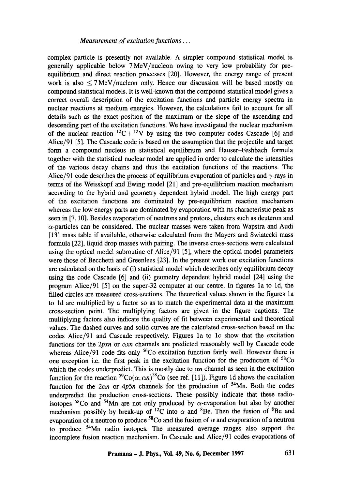complex particle is presently not available. A simpler compound statistical model is generally applicable below 7MeV/nucleon owing to very low probability for preequilibrium and direct reaction processes [20]. However, the energy range of present work is also  $\leq$  7 MeV/nucleon only. Hence our discussion will be based mostly on compound statistical models. It is well-known that the compound statistical model gives a correct overall description of the excitation functions and particle energy spectra in nuclear reactions at medium energies. However, the calculations fall to account for all details such as the exact position of the maximum or the slope of the ascending and descending part of the excitation functions. We have investigated the nuclear mechanism of the nuclear reaction  ${}^{12}C + {}^{12}V$  by using the two computer codes Cascade [6] and Alice/91 [5]. The Cascade code is based on the assumption that the projectile and target form a compound nucleus in statistical equilibrium and Hauser-Feshbach formula together with the statistical nuclear model are applied in order to calculate the intensities of the various decay chains and thus the excitation functions of the reactions. The Alice/91 code describes the process of equilibrium evaporation of particles and  $\gamma$ -rays in terms of the Weisskopf and Ewing model [21] and pre-equilibrium reaction mechanism according to the hybrid and geometry dependent hybrid model. The high energy part of the excitation functions are dominated by pre-equilibrium reaction mechanism whereas the low energy parts are dominated by evaporation with its characteristic peak as seen in [7, 10]. Besides evaporation of neutrons and protons, clusters such as deuteron and  $\alpha$ -particles can be considered. The nuclear masses were taken from Wapstra and Audi [13] mass table if available, otherwise calculated from the Mayers and Swiatecki mass formula [22], liquid drop masses with pairing. The inverse cross-sections were calculated using the optical model subroutine of Alice/91 [5], where the optical model parameters were those of Becchetti and Greenlees [23]. In the present work our excitation functions are calculated on the basis of (i) statistical model which describes only equilibrium decay using the code Cascade [6] and (ii) geometry dependent hybrid model [24] using the program Alice/91 [5] on the super-32 computer at our centre. In figures la to ld, the filled circles are measured cross-sections. The theoretical values shown in the figures la to ld are multiplied by a factor so as to match the experimental data at the maximum cross-section point. The multiplying factors are given in the figure captions. The multiplying factors also indicate the quality of fit between experimental and theoretical values. The dashed curves and solid curves are the calculated cross-section based on the codes Alice/91 and Cascade respectively. Figures la to lc show that the excitation functions for the  $2pxn$  or  $\alpha xn$  channels are predicted reasonably well by Cascade code whereas Alice/91 code fits only  $56C$ o excitation function fairly well. However there is one exception i.e. the first peak in the excitation function for the production of  $58Co$ which the codes underpredict. This is mostly due to  $\alpha n$  channel as seen in the excitation function for the reaction  ${}^{59}Co(\alpha, \alpha n){}^{58}Co$  (see ref. [11]). Figure 1d shows the excitation function for the  $2\alpha n$  or  $4p5n$  channels for the production of <sup>54</sup>Mn. Both the codes underpredict the production cross-sections. These possibly indicate that these radioisotopes  $58\text{Co}$  and  $54\text{Mn}$  are not only produced by  $\alpha$ -evaporation but also by another mechanism possibly by break-up of <sup>12</sup>C into  $\alpha$  and <sup>8</sup>Be. Then the fusion of <sup>8</sup>Be and evaporation of a neutron to produce <sup>58</sup>Co and the fusion of  $\alpha$  and evaporation of a neutron to produce 54Mn radio isotopes. The measured average ranges also support the incomplete fusion reaction mechanism. In Cascade and Alice/91 codes evaporations of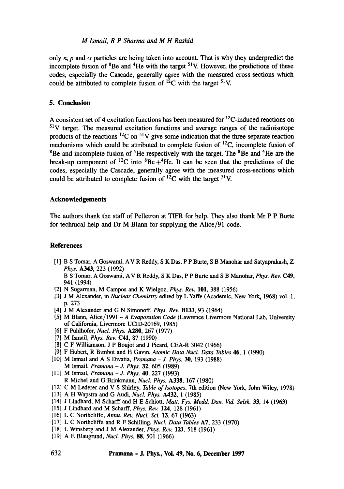#### *M lsmail, R P Sharma and M H Rashid*

only n, p and  $\alpha$  particles are being taken into account. That is why they underpredict the incomplete fusion of  ${}^{8}$ Be and  ${}^{4}$ He with the target  ${}^{51}$ V. However, the predictions of these codes, especially the Cascade, generally agree with the measured cross-sections which could be attributed to complete fusion of  $^{12}$ C with the target <sup>51</sup>V.

### **5. Conclusion**

A consistent set of 4 excitation functions has been measured for  ${}^{12}C$ -induced reactions on  $51V$  target. The measured excitation functions and average ranges of the radioisotope products of the reactions  ${}^{12}$ C on  ${}^{51}$ V give some indication that the three separate reaction mechanisms which could be attributed to complete fusion of  $^{12}C$ , incomplete fusion of  $8B$ e and incomplete fusion of  $4He$  respectively with the target. The  $8Be$  and  $4He$  are the break-up component of <sup>12</sup>C into  ${}^{8}Be + {}^{4}He$ . It can be seen that the predictions of the codes, especially the Cascade, generally agree with the measured cross-sections which could be attributed to complete fusion of  ${}^{12}C$  with the target <sup>51</sup>V.

## **Acknowledgements**

The authors thank the staff of Pelletron at TIFR for help. They also thank Mr P P Butte for technical help and Dr M Blann for supplying the Alice/91 code.

### **References**

- [1] B S Tomar, A Goswami, AV R Reddy, S K Das, P P Burte, S B Manohar and Satyaprakash, Z *Phys.* A343, 223 (1992) B S Tomar, A Goswami, A V R Rcddy, S K Das, P P Burte and S B Manohar, *Phys. Rev.* C49, 941 (1994)
- [2] N Sugarman, M Campos and K Wielgoz, *Phys. Rev.* 101, 388 (1956)
- [3] J M Alexander, in *Nuclear Chemistry* edited by L Yaffe (Academic, New York, 1968) vol. 1, p. 273
- [4] J M Alexander and G N Simonoff, *Phys. Rev.* B133, 93 (1964)
- [5] M Blann, Alice/1991  *A Evaporation Code* (Lawrence Livermore National Lab, University of California, Livermore UCID-20169, 1985)
- [6] F Puhlhofer, *Nucl. Phys.* A280, 267 (1977)
- [7] M Ismail, *Phys. Rev.* C41, 87 (1990)
- [8] C F Williamson, J P Boujot and J Picard, CEA-R 3042 (1966)
- [9] F Hubert, R Bimbot and H Gavin, *Atomic Data Nucl. Data Tables* 46, 1 (1990)
- [10] M Ismail and A S Divatia, *Pramana J. Phys. 30,* 193 (1988) M Ismail, *Pramana - J. Phys.* 32, 605 (1989)
- [11] M Ismail, *Pramana -J. Phys.* 40, 227 (1993) R Michel and G Brinkmann, *Nucl. Phys.* A338, 167 (1980)
- [12] C M Lederer and V S Shirley, *Table of Isotopes,* 7th edition (New York, John Wiley, 1978)
- [13] A H Wapstra and G Audi, *Nucl. Phys.* A432, 1 (1985)
- [14] J Lindhard, M Scharff and H E Schiott, *Matt. Fys. Medd. Dan. Vid. Selsk.* 33, 14 (1963)
- [15] J Lindhard and M Scharff, *Phys. Rev.* 124, 128 (1961)
- [16] L C Northcliffe, *Annu. Rev. Nucl. Sci.* 13, 67 (1963)
- [17] L C Northcliffe and R F Schilling, *Nucl. Data Tables* A7, 233 (1970)
- [18] L Winsberg and J M Alexander, *Phys. Rev.* 121, 518 (1961)
- [19] A E Blaugrund, *Nucl. Phys.* **88,** 501 (1966)